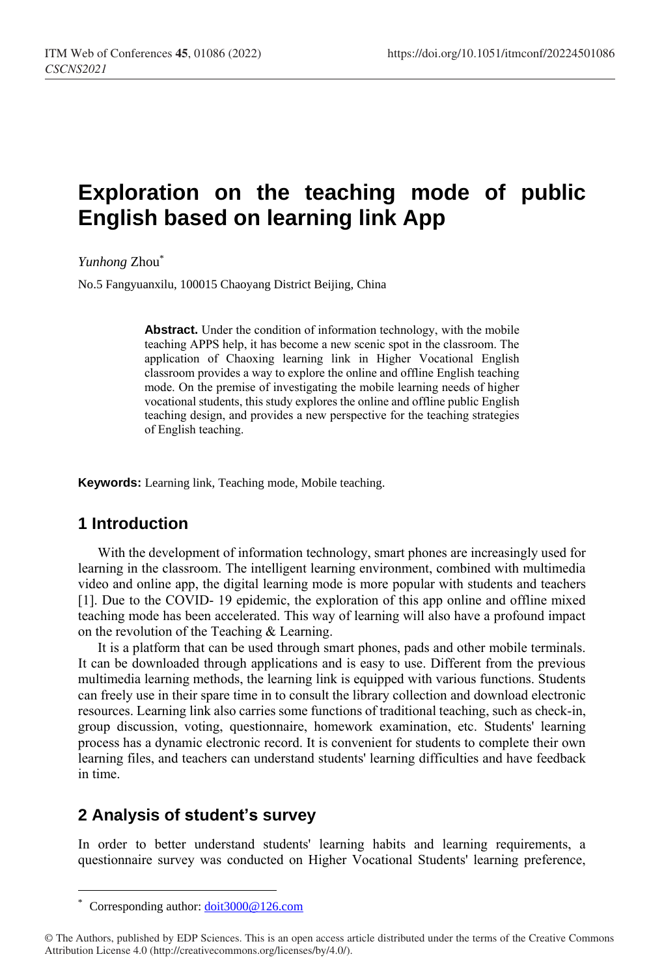# **Exploration on the teaching mode of public English based on learning link App**

*Yunhong* Zhou\*

No.5 Fangyuanxilu, 100015 Chaoyang District Beijing, China

Abstract. Under the condition of information technology, with the mobile teaching APPS help, it has become a new scenic spot in the classroom. The application of Chaoxing learning link in Higher Vocational English classroom provides a way to explore the online and offline English teaching mode. On the premise of investigating the mobile learning needs of higher vocational students, this study explores the online and offline public English teaching design, and provides a new perspective for the teaching strategies of English teaching.

**Keywords:** Learning link, Teaching mode, Mobile teaching.

# **1 Introduction**

With the development of information technology, smart phones are increasingly used for learning in the classroom. The intelligent learning environment, combined with multimedia video and online app, the digital learning mode is more popular with students and teachers [1]. Due to the COVID- 19 epidemic, the exploration of this app online and offline mixed teaching mode has been accelerated. This way of learning will also have a profound impact on the revolution of the Teaching & Learning.

It is a platform that can be used through smart phones, pads and other mobile terminals. It can be downloaded through applications and is easy to use. Different from the previous multimedia learning methods, the learning link is equipped with various functions. Students can freely use in their spare time in to consult the library collection and download electronic resources. Learning link also carries some functions of traditional teaching, such as check-in, group discussion, voting, questionnaire, homework examination, etc. Students' learning process has a dynamic electronic record. It is convenient for students to complete their own learning files, and teachers can understand students' learning difficulties and have feedback in time.

# **2 Analysis of student's survey**

In order to better understand students' learning habits and learning requirements, a questionnaire survey was conducted on Higher Vocational Students' learning preference,

 $\overline{a}$ 

<sup>\*</sup> Corresponding author[: doit3000@126.com](mailto:doit3000@126.com)

<sup>©</sup> The Authors, published by EDP Sciences. This is an open access article distributed under the terms of the Creative Commons Attribution License 4.0 (http://creativecommons.org/licenses/by/4.0/).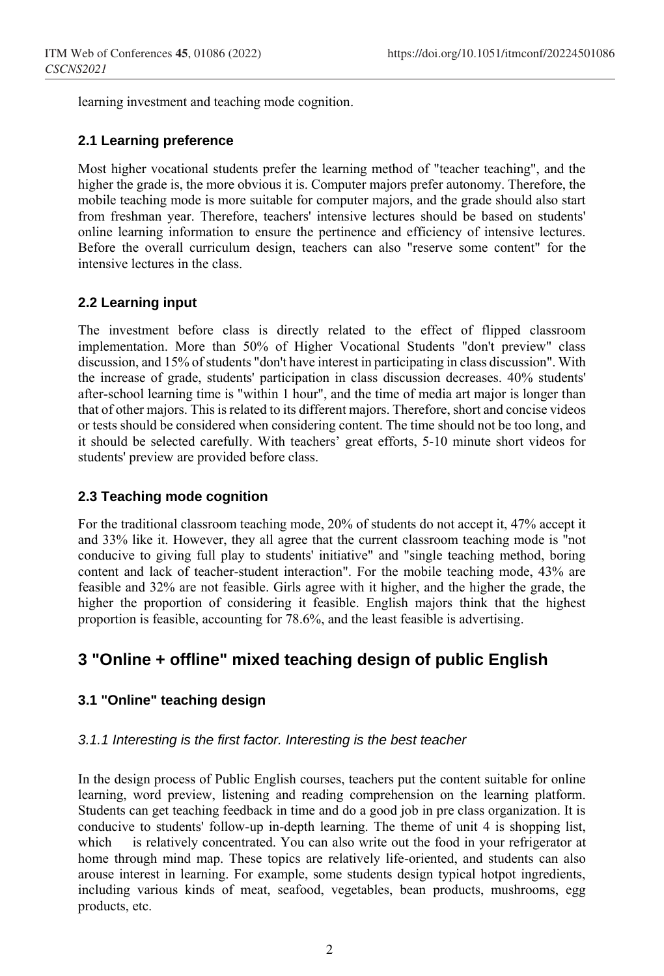learning investment and teaching mode cognition.

#### **2.1 Learning preference**

Most higher vocational students prefer the learning method of "teacher teaching", and the higher the grade is, the more obvious it is. Computer majors prefer autonomy. Therefore, the mobile teaching mode is more suitable for computer majors, and the grade should also start from freshman year. Therefore, teachers' intensive lectures should be based on students' online learning information to ensure the pertinence and efficiency of intensive lectures. Before the overall curriculum design, teachers can also "reserve some content" for the intensive lectures in the class.

#### **2.2 Learning input**

The investment before class is directly related to the effect of flipped classroom implementation. More than 50% of Higher Vocational Students "don't preview" class discussion, and 15% of students "don't have interest in participating in class discussion". With the increase of grade, students' participation in class discussion decreases. 40% students' after-school learning time is "within 1 hour", and the time of media art major is longer than that of other majors. This is related to its different majors. Therefore, short and concise videos or tests should be considered when considering content. The time should not be too long, and it should be selected carefully. With teachers' great efforts, 5-10 minute short videos for students' preview are provided before class.

#### **2.3 Teaching mode cognition**

For the traditional classroom teaching mode, 20% of students do not accept it, 47% accept it and 33% like it. However, they all agree that the current classroom teaching mode is "not conducive to giving full play to students' initiative" and "single teaching method, boring content and lack of teacher-student interaction". For the mobile teaching mode, 43% are feasible and 32% are not feasible. Girls agree with it higher, and the higher the grade, the higher the proportion of considering it feasible. English majors think that the highest proportion is feasible, accounting for 78.6%, and the least feasible is advertising.

# **3 "Online + offline" mixed teaching design of public English**

#### **3.1 "Online" teaching design**

#### *3.1.1 Interesting is the first factor. Interesting is the best teacher*

In the design process of Public English courses, teachers put the content suitable for online learning, word preview, listening and reading comprehension on the learning platform. Students can get teaching feedback in time and do a good job in pre class organization. It is conducive to students' follow-up in-depth learning. The theme of unit 4 is shopping list, which is relatively concentrated. You can also write out the food in your refrigerator at home through mind map. These topics are relatively life-oriented, and students can also arouse interest in learning. For example, some students design typical hotpot ingredients, including various kinds of meat, seafood, vegetables, bean products, mushrooms, egg products, etc.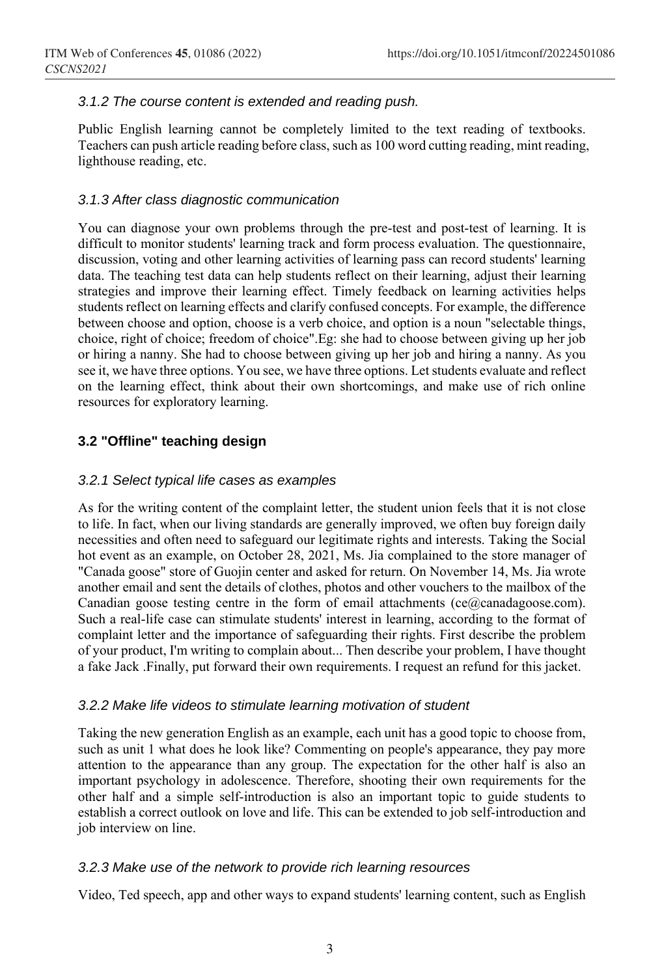#### *3.1.2 The course content is extended and reading push.*

Public English learning cannot be completely limited to the text reading of textbooks. Teachers can push article reading before class, such as 100 word cutting reading, mint reading, lighthouse reading, etc.

#### *3.1.3 After class diagnostic communication*

You can diagnose your own problems through the pre-test and post-test of learning. It is difficult to monitor students' learning track and form process evaluation. The questionnaire, discussion, voting and other learning activities of learning pass can record students' learning data. The teaching test data can help students reflect on their learning, adjust their learning strategies and improve their learning effect. Timely feedback on learning activities helps students reflect on learning effects and clarify confused concepts. For example, the difference between choose and option, choose is a verb choice, and option is a noun "selectable things, choice, right of choice; freedom of choice".Eg: she had to choose between giving up her job or hiring a nanny. She had to choose between giving up her job and hiring a nanny. As you see it, we have three options. You see, we have three options. Let students evaluate and reflect on the learning effect, think about their own shortcomings, and make use of rich online resources for exploratory learning.

#### **3.2 "Offline" teaching design**

#### *3.2.1 Select typical life cases as examples*

As for the writing content of the complaint letter, the student union feels that it is not close to life. In fact, when our living standards are generally improved, we often buy foreign daily necessities and often need to safeguard our legitimate rights and interests. Taking the Social hot event as an example, on October 28, 2021, Ms. Jia complained to the store manager of "Canada goose" store of Guojin center and asked for return. On November 14, Ms. Jia wrote another email and sent the details of clothes, photos and other vouchers to the mailbox of the Canadian goose testing centre in the form of email attachments ( $ce@canadagoose.com$ ). Such a real-life case can stimulate students' interest in learning, according to the format of complaint letter and the importance of safeguarding their rights. First describe the problem of your product, I'm writing to complain about... Then describe your problem, I have thought a fake Jack .Finally, put forward their own requirements. I request an refund for this jacket.

#### *3.2.2 Make life videos to stimulate learning motivation of student*

Taking the new generation English as an example, each unit has a good topic to choose from, such as unit 1 what does he look like? Commenting on people's appearance, they pay more attention to the appearance than any group. The expectation for the other half is also an important psychology in adolescence. Therefore, shooting their own requirements for the other half and a simple self-introduction is also an important topic to guide students to establish a correct outlook on love and life. This can be extended to job self-introduction and job interview on line.

#### *3.2.3 Make use of the network to provide rich learning resources*

Video, Ted speech, app and other ways to expand students' learning content, such as English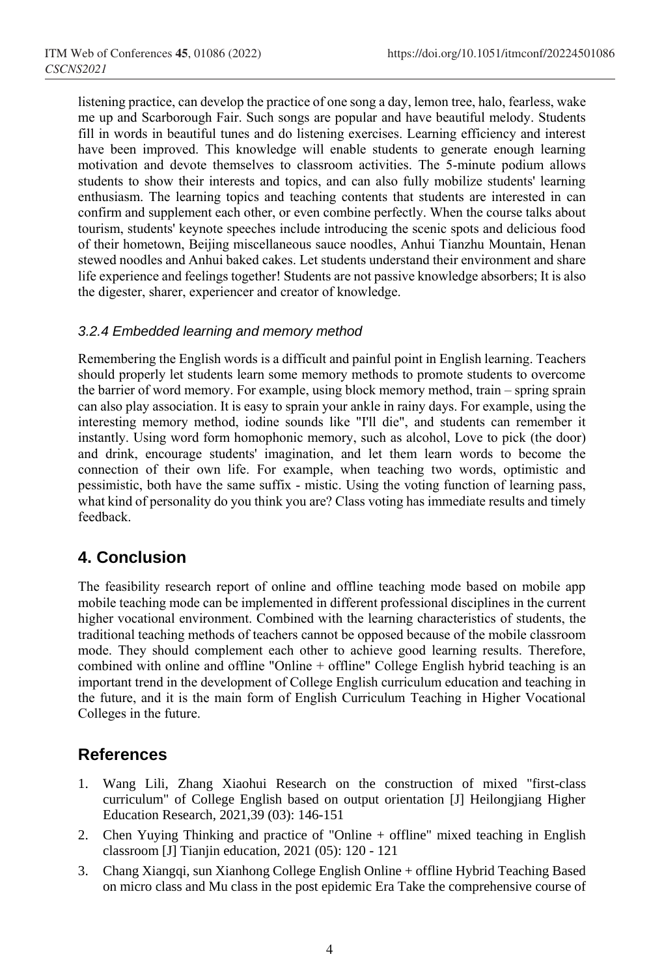listening practice, can develop the practice of one song a day, lemon tree, halo, fearless, wake me up and Scarborough Fair. Such songs are popular and have beautiful melody. Students fill in words in beautiful tunes and do listening exercises. Learning efficiency and interest have been improved. This knowledge will enable students to generate enough learning motivation and devote themselves to classroom activities. The 5-minute podium allows students to show their interests and topics, and can also fully mobilize students' learning enthusiasm. The learning topics and teaching contents that students are interested in can confirm and supplement each other, or even combine perfectly. When the course talks about tourism, students' keynote speeches include introducing the scenic spots and delicious food of their hometown, Beijing miscellaneous sauce noodles, Anhui Tianzhu Mountain, Henan stewed noodles and Anhui baked cakes. Let students understand their environment and share life experience and feelings together! Students are not passive knowledge absorbers; It is also the digester, sharer, experiencer and creator of knowledge.

#### *3.2.4 Embedded learning and memory method*

Remembering the English words is a difficult and painful point in English learning. Teachers should properly let students learn some memory methods to promote students to overcome the barrier of word memory. For example, using block memory method, train – spring sprain can also play association. It is easy to sprain your ankle in rainy days. For example, using the interesting memory method, iodine sounds like "I'll die", and students can remember it instantly. Using word form homophonic memory, such as alcohol, Love to pick (the door) and drink, encourage students' imagination, and let them learn words to become the connection of their own life. For example, when teaching two words, optimistic and pessimistic, both have the same suffix - mistic. Using the voting function of learning pass, what kind of personality do you think you are? Class voting has immediate results and timely feedback.

# **4. Conclusion**

The feasibility research report of online and offline teaching mode based on mobile app mobile teaching mode can be implemented in different professional disciplines in the current higher vocational environment. Combined with the learning characteristics of students, the traditional teaching methods of teachers cannot be opposed because of the mobile classroom mode. They should complement each other to achieve good learning results. Therefore, combined with online and offline "Online + offline" College English hybrid teaching is an important trend in the development of College English curriculum education and teaching in the future, and it is the main form of English Curriculum Teaching in Higher Vocational Colleges in the future.

# **References**

- 1. Wang Lili, Zhang Xiaohui Research on the construction of mixed "first-class curriculum" of College English based on output orientation [J] Heilongjiang Higher Education Research, 2021,39 (03): 146-151
- 2. Chen Yuying Thinking and practice of "Online + offline" mixed teaching in English classroom [J] Tianjin education, 2021 (05): 120 - 121
- 3. Chang Xiangqi, sun Xianhong College English Online + offline Hybrid Teaching Based on micro class and Mu class in the post epidemic Era Take the comprehensive course of